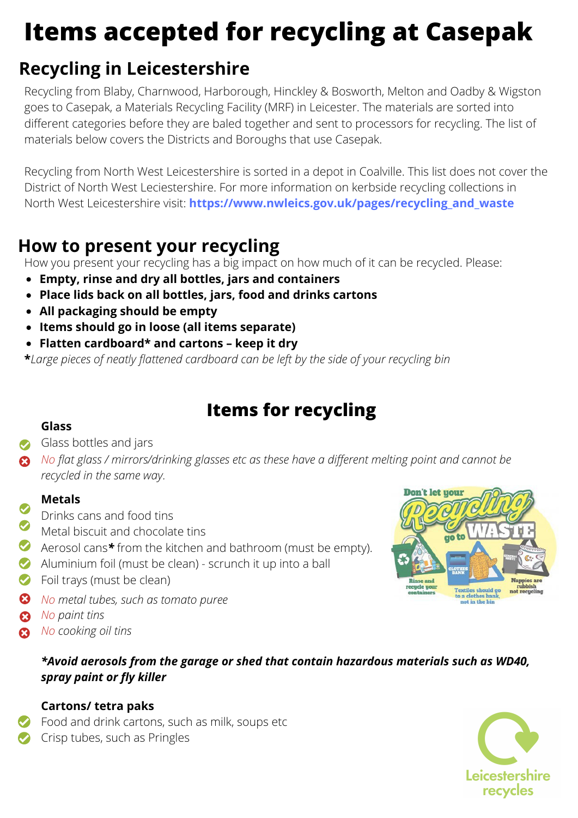# **Items accepted for recycling at Casepak**

# **Recycling in Leicestershire**

Recycling from Blaby, Charnwood, Harborough, Hinckley & Bosworth, Melton and Oadby & Wigston goes to Casepak, a Materials Recycling Facility (MRF) in Leicester. The materials are sorted into different categories before they are baled together and sent to processors for recycling. The list of materials below covers the Districts and Boroughs that use Casepak.

Recycling from North West Leicestershire is sorted in a depot in Coalville. This list does not cover the District of North West Leciestershire. For more information on kerbside recycling collections in North West Leicestershire visit: **[https://www.nwleics.gov.uk/pages/recycling\\_and\\_waste](https://www.nwleics.gov.uk/pages/recycling_and_waste)**

### **How to present your recycling**

How you present your recycling has a big impact on how much of it can be recycled. Please:

- **Empty, rinse and dry all bottles, jars and containers**
- **Place lids back on all bottles, jars, food and drinks cartons**
- **All packaging should be empty**
- **Items should go in loose (all items separate)**
- **Flatten cardboard\* and cartons keep it dry**

**\****Large pieces of neatly flattened cardboard can be left by the side of your recycling bin*

## **Items for recycling**

#### **Glass**

Glass bottles and jars

*No flat glass / mirrors/drinking glasses etc as these have a different melting point and cannot be recycled in the same way.*

#### **Metals**

- Drinks cans and food tins  $\bullet$ 
	- Metal biscuit and chocolate tins
- Aerosol cans*\** from the kitchen and bathroom (must be empty).
- Aluminium foil (must be clean) scrunch it up into a ball
- **S** Foil trays (must be clean)
- *No metal tubes, such as tomato puree*
- **8** No paint tins
- *No cooking oil tins*  $\boldsymbol{\Omega}$

#### *\*Avoid aerosols from the garage or shed that contain hazardous materials such as WD40, spray paint or fly killer*

#### **Cartons/ tetra paks**

**Food and drink cartons, such as milk, soups etc**  $\bullet$  Crisp tubes, such as Pringles